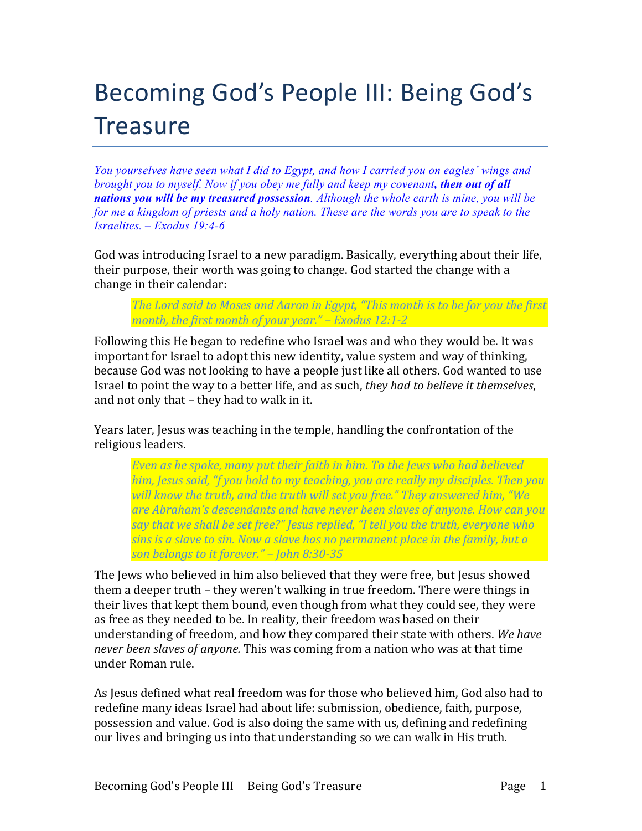# Becoming God's People III: Being God's **Treasure**

*You yourselves have seen what I did to Egypt, and how I carried you on eagles' wings and brought you to myself. Now if you obey me fully and keep my covenant, then out of all nations you will be my treasured possession. Although the whole earth is mine, you will be* for me a kingdom of priests and a holy nation. These are the words you are to speak to the *Israelites. – Exodus 19:4-6*

God was introducing Israel to a new paradigm. Basically, everything about their life, their purpose, their worth was going to change. God started the change with a change in their calendar:

*The Lord said to Moses and Aaron in Egypt, "This month is to be for you the first month, the first month of your year." – Exodus 12:1-2* 

Following this He began to redefine who Israel was and who they would be. It was important for Israel to adopt this new identity, value system and way of thinking, because God was not looking to have a people just like all others. God wanted to use Israel to point the way to a better life, and as such, *they had to believe it themselves*, and not only that  $-$  they had to walk in it.

Years later, Jesus was teaching in the temple, handling the confrontation of the religious leaders.

*Even as he spoke, many put their faith in him. To the Jews who had believed him, Jesus said, "f you hold to my teaching, you are really my disciples. Then you* will know the truth, and the truth will set you free." They answered him, "We are Abraham's descendants and have never been slaves of anyone. How can you say that we shall be set free?" Jesus replied, "I tell you the truth, everyone who *sins is a slave to sin. Now a slave has no permanent place in the family, but a son belongs to it forever." – John 8:30-35*

The Jews who believed in him also believed that they were free, but Jesus showed them a deeper truth – they weren't walking in true freedom. There were things in their lives that kept them bound, even though from what they could see, they were as free as they needed to be. In reality, their freedom was based on their understanding of freedom, and how they compared their state with others. We have *never been slaves of anyone.* This was coming from a nation who was at that time under Roman rule.

As Jesus defined what real freedom was for those who believed him, God also had to redefine many ideas Israel had about life: submission, obedience, faith, purpose, possession and value. God is also doing the same with us, defining and redefining our lives and bringing us into that understanding so we can walk in His truth.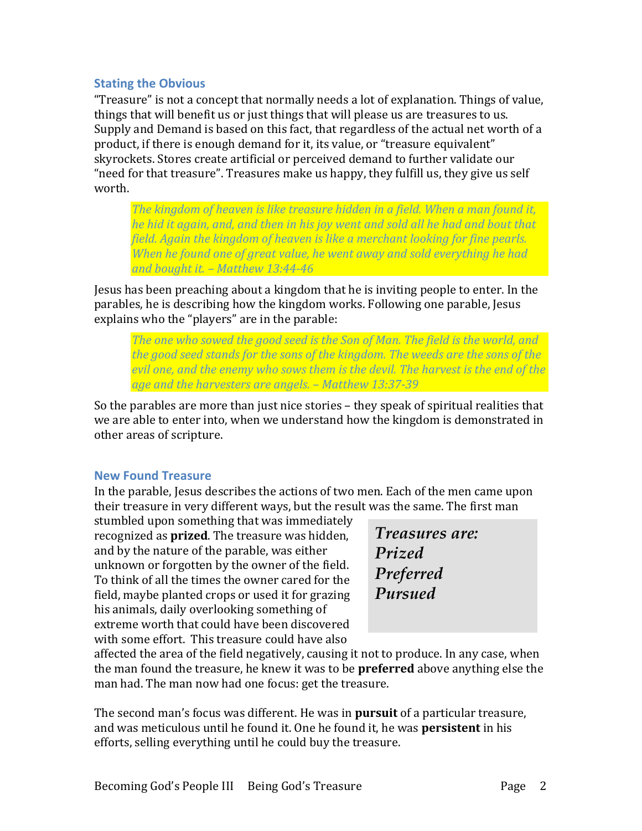## **Stating the Obvious**

"Treasure" is not a concept that normally needs a lot of explanation. Things of value, things that will benefit us or just things that will please us are treasures to us. Supply and Demand is based on this fact, that regardless of the actual net worth of a product, if there is enough demand for it, its value, or "treasure equivalent" skyrockets. Stores create artificial or perceived demand to further validate our "need for that treasure". Treasures make us happy, they fulfill us, they give us self worth. 

*The kingdom of heaven is like treasure hidden in a field. When a man found it, he hid it again, and, and then in his joy went and sold all he had and bout that field.* Again the kingdom of heaven is like a merchant looking for fine pearls. *When he found one of great value, he went away and sold everything he had and bought it. – Matthew 13:44-46*

Jesus has been preaching about a kingdom that he is inviting people to enter. In the parables, he is describing how the kingdom works. Following one parable, Jesus explains who the "players" are in the parable:

*The one who sowed the good seed is the Son of Man. The field is the world, and* the good seed stands for the sons of the kingdom. The weeds are the sons of the *evil one, and the enemy who sows them is the devil. The harvest is the end of the age and the harvesters are angels. – Matthew 13:37-39*

So the parables are more than just nice stories – they speak of spiritual realities that we are able to enter into, when we understand how the kingdom is demonstrated in other areas of scripture.

## **New Found Treasure**

In the parable, Jesus describes the actions of two men. Each of the men came upon their treasure in very different ways, but the result was the same. The first man

stumbled upon something that was immediately recognized as **prized**. The treasure was hidden, and by the nature of the parable, was either unknown or forgotten by the owner of the field. To think of all the times the owner cared for the field, maybe planted crops or used it for grazing his animals, daily overlooking something of extreme worth that could have been discovered with some effort. This treasure could have also

| Treasures are: |  |
|----------------|--|
| Prized         |  |
| Preferred      |  |
| Pursued        |  |

affected the area of the field negatively, causing it not to produce. In any case, when the man found the treasure, he knew it was to be **preferred** above anything else the man had. The man now had one focus: get the treasure.

The second man's focus was different. He was in **pursuit** of a particular treasure, and was meticulous until he found it. One he found it, he was **persistent** in his efforts, selling everything until he could buy the treasure.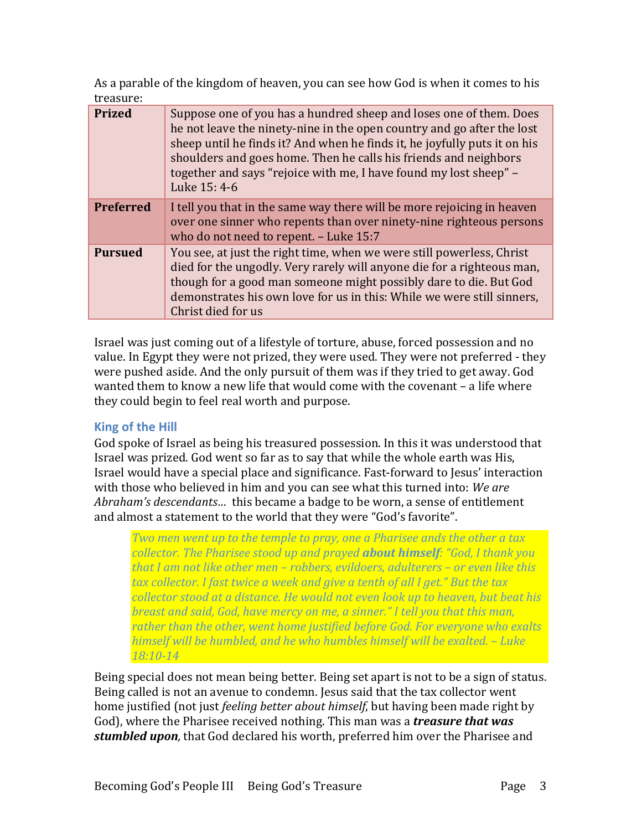As a parable of the kingdom of heaven, you can see how God is when it comes to his treasure:

| <b>Prized</b>    | Suppose one of you has a hundred sheep and loses one of them. Does<br>he not leave the ninety-nine in the open country and go after the lost<br>sheep until he finds it? And when he finds it, he joyfully puts it on his<br>shoulders and goes home. Then he calls his friends and neighbors<br>together and says "rejoice with me, I have found my lost sheep" –<br>Luke 15: 4-6 |
|------------------|------------------------------------------------------------------------------------------------------------------------------------------------------------------------------------------------------------------------------------------------------------------------------------------------------------------------------------------------------------------------------------|
| <b>Preferred</b> | I tell you that in the same way there will be more rejoicing in heaven<br>over one sinner who repents than over ninety-nine righteous persons<br>who do not need to repent. - Luke 15:7                                                                                                                                                                                            |
| <b>Pursued</b>   | You see, at just the right time, when we were still powerless, Christ<br>died for the ungodly. Very rarely will anyone die for a righteous man,<br>though for a good man someone might possibly dare to die. But God<br>demonstrates his own love for us in this: While we were still sinners,<br>Christ died for us                                                               |

Israel was just coming out of a lifestyle of torture, abuse, forced possession and no value. In Egypt they were not prized, they were used. They were not preferred - they were pushed aside. And the only pursuit of them was if they tried to get away. God wanted them to know a new life that would come with the covenant - a life where they could begin to feel real worth and purpose.

## **King of the Hill**

God spoke of Israel as being his treasured possession. In this it was understood that Israel was prized. God went so far as to say that while the whole earth was His, Israel would have a special place and significance. Fast-forward to Jesus' interaction with those who believed in him and you can see what this turned into: We are *Abraham's descendants...* this became a badge to be worn, a sense of entitlement and almost a statement to the world that they were "God's favorite".

*Two* men went up to the temple to pray, one a Pharisee ands the other a tax *collector.* The Pharisee stood up and prayed **about himself**: "God, I thank you *that I am not like other men – robbers, evildoers, adulterers – or even like this tax* collector. I fast twice a week and give a tenth of all I get." But the tax *collector stood at a distance. He would not even look up to heaven, but beat his breast and said, God, have mercy on me, a sinner." I tell you that this man, rather than the other, went home justified before God. For everyone who exalts himself will be humbled, and he who humbles himself will be exalted.* – Luke *18:10-14*

Being special does not mean being better. Being set apart is not to be a sign of status. Being called is not an avenue to condemn. Jesus said that the tax collector went home justified (not just *feeling better about himself*, but having been made right by God), where the Pharisee received nothing. This man was a *treasure that was* **stumbled upon**, that God declared his worth, preferred him over the Pharisee and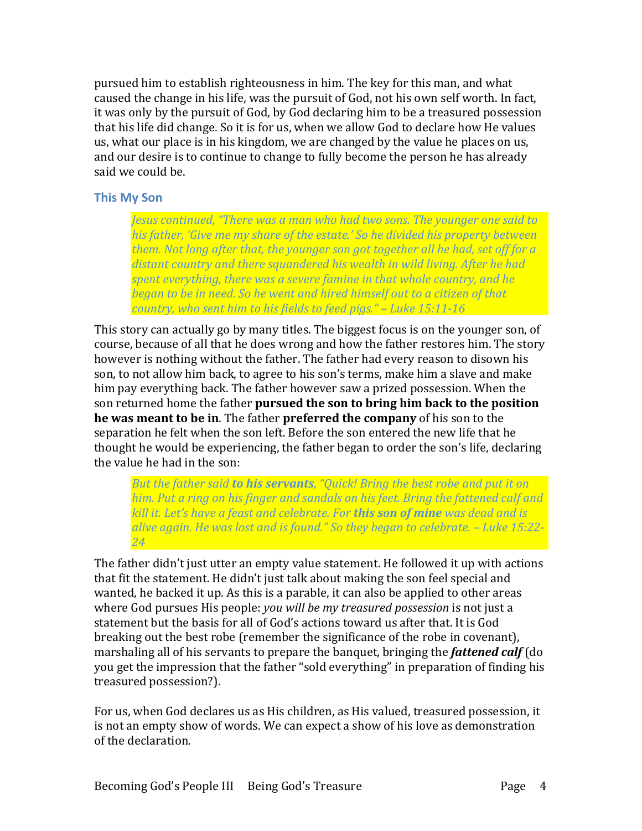pursued him to establish righteousness in him. The key for this man, and what caused the change in his life, was the pursuit of God, not his own self worth. In fact, it was only by the pursuit of God, by God declaring him to be a treasured possession that his life did change. So it is for us, when we allow God to declare how He values us, what our place is in his kingdom, we are changed by the value he places on us, and our desire is to continue to change to fully become the person he has already said we could be.

## **This My Son**

*Jesus continued, "There was a man who had two sons. The younger one said to his* father, 'Give me my share of the estate.' So he divided his property between *them.* Not long after that, the younger son got together all he had, set off for a distant country and there squandered his wealth in wild living. After he had *spent* everything, there was a severe famine in that whole country, and he *began to be in need.* So he went and hired himself out to a citizen of that *country, who sent him to his fields to feed pigs." - Luke 15:11-16* 

This story can actually go by many titles. The biggest focus is on the younger son, of course, because of all that he does wrong and how the father restores him. The story however is nothing without the father. The father had every reason to disown his son, to not allow him back, to agree to his son's terms, make him a slave and make him pay everything back. The father however saw a prized possession. When the son returned home the father **pursued the son to bring him back to the position he was meant to be in**. The father **preferred the company** of his son to the separation he felt when the son left. Before the son entered the new life that he thought he would be experiencing, the father began to order the son's life, declaring the value he had in the son:

*But the father said to his servants, "Quick! Bring the best robe and put it on him.* Put a ring on his finger and sandals on his feet. Bring the fattened calf and *kill* it. Let's have a feast and celebrate. For **this son of mine** was dead and is *alive again. He was lost and is found." So they began to celebrate. – Luke 15:22- 24*

The father didn't just utter an empty value statement. He followed it up with actions that fit the statement. He didn't just talk about making the son feel special and wanted, he backed it up. As this is a parable, it can also be applied to other areas where God pursues His people: *you will be my treasured possession* is not just a statement but the basis for all of God's actions toward us after that. It is God breaking out the best robe (remember the significance of the robe in covenant), marshaling all of his servants to prepare the banquet, bringing the **fattened calf** (do you get the impression that the father "sold everything" in preparation of finding his treasured possession?).

For us, when God declares us as His children, as His valued, treasured possession, it is not an empty show of words. We can expect a show of his love as demonstration of the declaration.